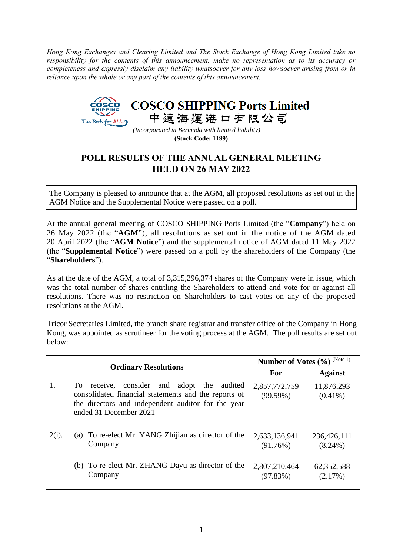*Hong Kong Exchanges and Clearing Limited and The Stock Exchange of Hong Kong Limited take no responsibility for the contents of this announcement, make no representation as to its accuracy or completeness and expressly disclaim any liability whatsoever for any loss howsoever arising from or in reliance upon the whole or any part of the contents of this announcement.*



*(Incorporated in Bermuda with limited liability)* **(Stock Code: 1199)**

## **POLL RESULTS OF THE ANNUAL GENERAL MEETING HELD ON 26 MAY 2022**

The Company is pleased to announce that at the AGM, all proposed resolutions as set out in the AGM Notice and the Supplemental Notice were passed on a poll.

At the annual general meeting of COSCO SHIPPING Ports Limited (the "**Company**") held on 26 May 2022 (the "**AGM**"), all resolutions as set out in the notice of the AGM dated 20 April 2022 (the "**AGM Notice**") and the supplemental notice of AGM dated 11 May 2022 (the "**Supplemental Notice**") were passed on a poll by the shareholders of the Company (the "**Shareholders**").

As at the date of the AGM, a total of 3,315,296,374 shares of the Company were in issue, which was the total number of shares entitling the Shareholders to attend and vote for or against all resolutions. There was no restriction on Shareholders to cast votes on any of the proposed resolutions at the AGM.

Tricor Secretaries Limited, the branch share registrar and transfer office of the Company in Hong Kong, was appointed as scrutineer for the voting process at the AGM. The poll results are set out below:

|                             |                                                                                                                                                                                            | Number of Votes (%) (Note 1) |                           |
|-----------------------------|--------------------------------------------------------------------------------------------------------------------------------------------------------------------------------------------|------------------------------|---------------------------|
| <b>Ordinary Resolutions</b> |                                                                                                                                                                                            | For                          | <b>Against</b>            |
| 1.                          | consider and adopt the audited<br>To T<br>receive,<br>consolidated financial statements and the reports of<br>the directors and independent auditor for the year<br>ended 31 December 2021 | 2,857,772,759<br>(99.59%)    | 11,876,293<br>$(0.41\%)$  |
| $2(i)$ .                    | To re-elect Mr. YANG Zhijian as director of the<br>(a)<br>Company                                                                                                                          | 2,633,136,941<br>(91.76%)    | 236,426,111<br>$(8.24\%)$ |
|                             | (b) To re-elect Mr. ZHANG Dayu as director of the<br>Company                                                                                                                               | 2,807,210,464<br>(97.83%)    | 62,352,588<br>(2.17%)     |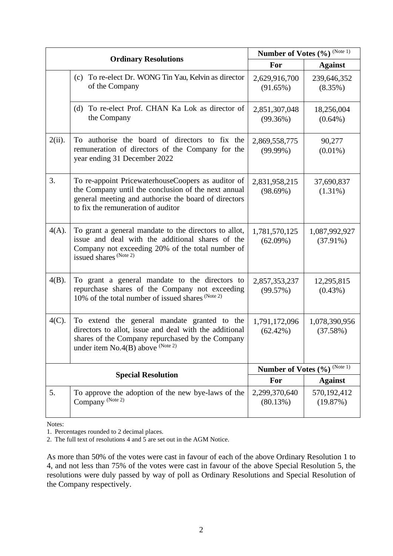|                           |                                                                                                                                                                                                         | Number of Votes (%) (Note 1) |                              |
|---------------------------|---------------------------------------------------------------------------------------------------------------------------------------------------------------------------------------------------------|------------------------------|------------------------------|
|                           | <b>Ordinary Resolutions</b>                                                                                                                                                                             | For                          | <b>Against</b>               |
|                           | (c) To re-elect Dr. WONG Tin Yau, Kelvin as director<br>of the Company                                                                                                                                  | 2,629,916,700<br>(91.65%)    | 239,646,352<br>$(8.35\%)$    |
|                           | (d) To re-elect Prof. CHAN Ka Lok as director of<br>the Company                                                                                                                                         | 2,851,307,048<br>(99.36%)    | 18,256,004<br>$(0.64\%)$     |
| $2(ii)$ .                 | To authorise the board of directors to fix the<br>remuneration of directors of the Company for the<br>year ending 31 December 2022                                                                      | 2,869,558,775<br>$(99.99\%)$ | 90,277<br>$(0.01\%)$         |
| 3.                        | To re-appoint PricewaterhouseCoopers as auditor of<br>the Company until the conclusion of the next annual<br>general meeting and authorise the board of directors<br>to fix the remuneration of auditor | 2,831,958,215<br>(98.69%)    | 37,690,837<br>$(1.31\%)$     |
| $4(A)$ .                  | To grant a general mandate to the directors to allot,<br>issue and deal with the additional shares of the<br>Company not exceeding 20% of the total number of<br>issued shares (Note 2)                 | 1,781,570,125<br>$(62.09\%)$ | 1,087,992,927<br>$(37.91\%)$ |
| $4(B)$ .                  | To grant a general mandate to the directors to<br>repurchase shares of the Company not exceeding<br>10% of the total number of issued shares (Note 2)                                                   | 2,857,353,237<br>(99.57%)    | 12,295,815<br>$(0.43\%)$     |
| $4(C)$ .                  | To extend the general mandate granted to the<br>directors to allot, issue and deal with the additional<br>shares of the Company repurchased by the Company<br>under item $No.4(B)$ above $No.4(b)$      | 1,791,172,096<br>$(62.42\%)$ | 1,078,390,956<br>(37.58%)    |
| <b>Special Resolution</b> |                                                                                                                                                                                                         | Number of Votes (%) (Note 1) |                              |
|                           |                                                                                                                                                                                                         | For                          | <b>Against</b>               |
| 5.                        | To approve the adoption of the new bye-laws of the<br>Company <sup>(Note 2)</sup>                                                                                                                       | 2,299,370,640<br>(80.13%)    | 570,192,412<br>(19.87%)      |

Notes:

1. Percentages rounded to 2 decimal places.

2. The full text of resolutions 4 and  $\overline{5}$  are set out in the AGM Notice.

As more than 50% of the votes were cast in favour of each of the above Ordinary Resolution 1 to 4, and not less than 75% of the votes were cast in favour of the above Special Resolution 5, the resolutions were duly passed by way of poll as Ordinary Resolutions and Special Resolution of the Company respectively.